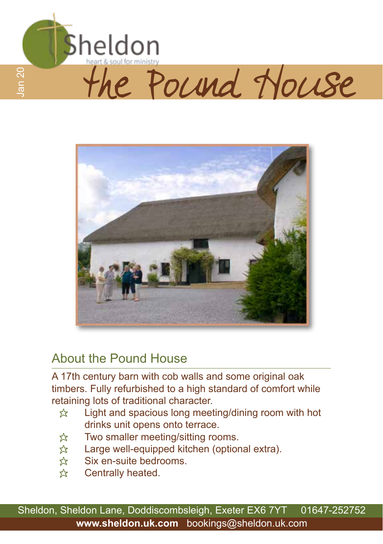



## About the Pound House

A 17th century barn with cob walls and some original oak timbers. Fully refurbished to a high standard of comfort while retaining lots of traditional character.

- $\hat{x}$  Light and spacious long meeting/dining room with hot drinks unit opens onto terrace.
- $\hat{\mathcal{R}}$  Two smaller meeting/sitting rooms.
- $\hat{x}$  Large well-equipped kitchen (optional extra).
- $\hat{x}$  Six en-suite bedrooms.
- $\hat{\mathbf{x}}$  Centrally heated.

Sheldon, Sheldon Lane, Doddiscombsleigh, Exeter EX6 7YT 01647-252752 **www.sheldon.uk.com** bookings@sheldon.uk.com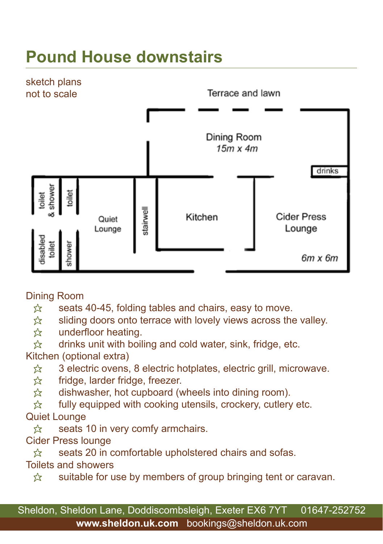# **Pound House downstairs**



Dining Room

 $\hat{\varphi}$  seats 40-45, folding tables and chairs, easy to move.

 $\hat{x}$  sliding doors onto terrace with lovely views across the valley.

☆ underfloor heating.<br>☆ drinks unit with boil

drinks unit with boiling and cold water, sink, fridge, etc.

Kitchen (optional extra)

 $\hat{\mathcal{X}}$  3 electric ovens, 8 electric hotplates, electric grill, microwave.

 $\hat{\mathbf{x}}$  fridge, larder fridge, freezer.

 $\hat{\mathbb{X}}$  dishwasher, hot cupboard (wheels into dining room).<br> $\hat{\mathbb{X}}$  fully equipped with cooking utensils, crockery, cutlery

fully equipped with cooking utensils, crockery, cutlery etc.

### Quiet Lounge

 $\hat{\mathcal{R}}$  seats 10 in very comfy armchairs.

Cider Press lounge

 $\hat{\mathbb{X}}$  seats 20 in comfortable upholstered chairs and sofas. Toilets and showers

 $\hat{x}$  suitable for use by members of group bringing tent or caravan.

Sheldon, Sheldon Lane, Doddiscombsleigh, Exeter EX6 7YT 01647-252752 **www.sheldon.uk.com** bookings@sheldon.uk.com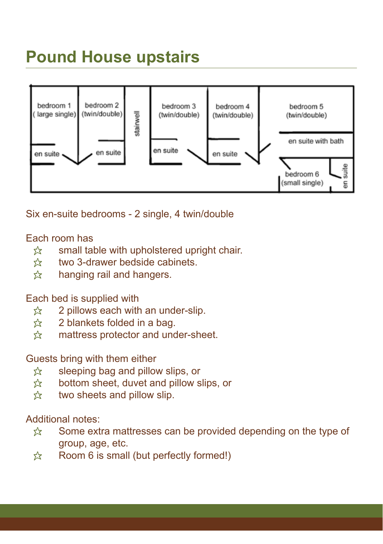## **Pound House upstairs**



Six en-suite bedrooms - 2 single, 4 twin/double

#### Each room has

- $\hat{x}$  small table with upholstered upright chair.
- $\frac{1}{22}$  two 3-drawer bedside cabinets.
- $\hat{\mathbf{x}}$  hanging rail and hangers.

#### Each bed is supplied with

- $\approx$  2 pillows each with an under-slip.
- $\hat{x}$  2 blankets folded in a bag.
- $\hat{\mathbb{X}}$  mattress protector and under-sheet.

#### Guests bring with them either

- $\hat{\mathbb{X}}$  sleeping bag and pillow slips, or  $\hat{\mathbb{X}}$  bottom sheet, duvet and pillow s
- bottom sheet, duvet and pillow slips, or
- $\hat{\mathbb{X}}$  two sheets and pillow slip.

#### Additional notes:

- $\hat{x}$  Some extra mattresses can be provided depending on the type of group, age, etc.
- $\hat{\mathcal{R}}$  Room 6 is small (but perfectly formed!)